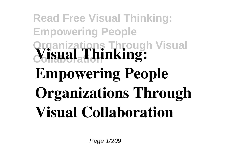## **Read Free Visual Thinking: Empowering People Organizations Through Visual Collaboration Visual Thinking: Empowering People Organizations Through Visual Collaboration**

Page 1/209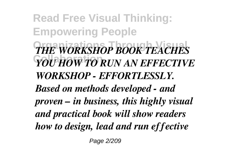**Read Free Visual Thinking: Empowering People Organizations Through Visual** *THE WORKSHOP BOOK TEACHES* **Collaboration** *YOU HOW TO RUN AN EFFECTIVE WORKSHOP - EFFORTLESSLY. Based on methods developed - and proven – in business, this highly visual and practical book will show readers how to design, lead and run effective*

Page 2/209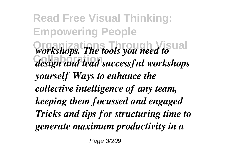**Read Free Visual Thinking: Empowering People Organizations Through Visual** *workshops. The tools you need to* **Collaboration** *design and lead successful workshops yourself Ways to enhance the collective intelligence of any team, keeping them focussed and engaged Tricks and tips for structuring time to generate maximum productivity in a*

Page 3/209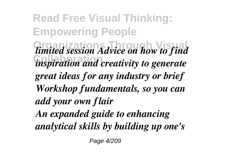**Read Free Visual Thinking: Empowering People** *limited session Advice on how to find* **Collaboration** *inspiration and creativity to generate great ideas for any industry or brief Workshop fundamentals, so you can add your own flair An expanded guide to enhancing analytical skills by building up one's*

Page 4/209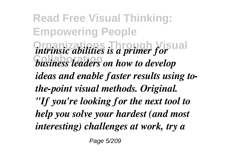**Read Free Visual Thinking: Empowering People** *intrinsic abilities is a primer for* **Collaboration** *business leaders on how to develop ideas and enable faster results using tothe-point visual methods. Original. "If you're looking for the next tool to help you solve your hardest (and most interesting) challenges at work, try a*

Page 5/209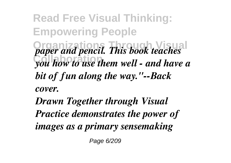**Read Free Visual Thinking: Empowering People Organizations Through Visual** *paper and pencil. This book teaches* **Collaboration** *you how to use them well - and have a bit of fun along the way."--Back cover.*

*Drawn Together through Visual Practice demonstrates the power of images as a primary sensemaking*

Page 6/209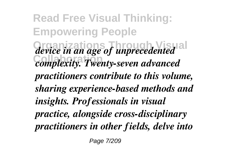**Read Free Visual Thinking: Empowering People** *device in an age of unprecedented* **Collaboration** *complexity. Twenty-seven advanced practitioners contribute to this volume, sharing experience-based methods and insights. Professionals in visual practice, alongside cross-disciplinary practitioners in other fields, delve into*

Page 7/209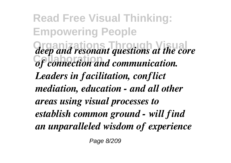**Read Free Visual Thinking: Empowering People Organizations Through Visual** *deep and resonant questions at the core* **Collaboration** *of connection and communication. Leaders in facilitation, conflict mediation, education - and all other areas using visual processes to establish common ground - will find an unparalleled wisdom of experience*

Page 8/209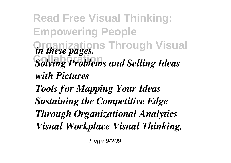**Read Free Visual Thinking: Empowering People Organizations Through Visual** *in these pages.* **Collaboration** *Solving Problems and Selling Ideas with Pictures Tools for Mapping Your Ideas Sustaining the Competitive Edge Through Organizational Analytics Visual Workplace Visual Thinking,*

Page 9/209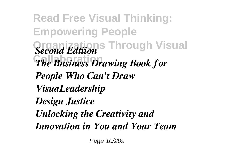**Read Free Visual Thinking: Empowering People Organizations Through Visual** *Second Edtiion* **The Business Drawing Book for** *People Who Can't Draw VisuaLeadership Design Justice Unlocking the Creativity and Innovation in You and Your Team*

Page 10/209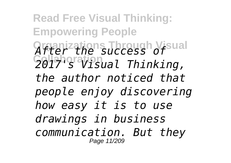**Read Free Visual Thinking: Empowering People Organizations Through Visual Collaboration** *After the success of 2017's Visual Thinking, the author noticed that people enjoy discovering how easy it is to use drawings in business communication. But they* Page 11/209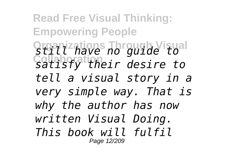**Read Free Visual Thinking: Empowering People Organizations Through Visual Collaboration** *still have no guide to satisfy their desire to tell a visual story in a very simple way. That is why the author has now written Visual Doing. This book will fulfil* Page 12/209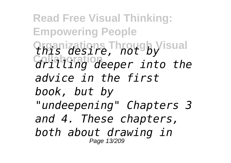**Read Free Visual Thinking: Empowering People Organizations Through Visual Collaboration** *this desire, not by drilling deeper into the advice in the first book, but by "undeepening" Chapters 3 and 4. These chapters, both about drawing in* Page 13/209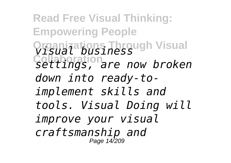**Read Free Visual Thinking: Empowering People Organizations Through Visual Collaboration** *visual business settings, are now broken down into ready-toimplement skills and tools. Visual Doing will improve your visual craftsmanship and* Page 14/209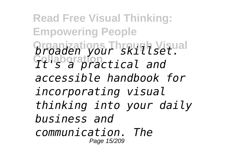**Read Free Visual Thinking: Empowering People Organizations Through Visual Collaboration** *broaden your skillset. It's a practical and accessible handbook for incorporating visual thinking into your daily business and communication. The* Page 15/209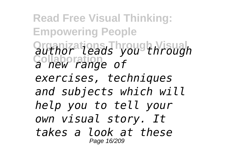**Read Free Visual Thinking: Empowering People Organizations Through Visual Collaboration** *author leads you through a new range of exercises, techniques and subjects which will help you to tell your own visual story. It takes a look at these* Page 16/209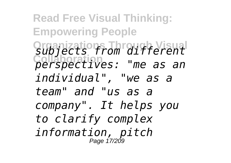**Read Free Visual Thinking: Empowering People Organizations Through Visual Collaboration** *subjects from different perspectives: "me as an individual", "we as a team" and "us as a company". It helps you to clarify complex information, pitch* Page 17/209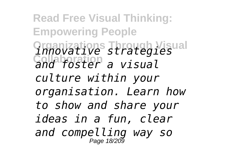**Read Free Visual Thinking: Empowering People Organizations Through Visual Collaboration** *innovative strategies and foster a visual culture within your organisation. Learn how to show and share your ideas in a fun, clear and compelling way so* Page 18/209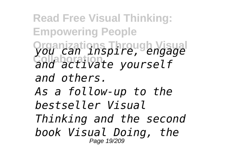**Read Free Visual Thinking: Empowering People Organizations Through Visual Collaboration** *you can inspire, engage and activate yourself and others. As a follow-up to the bestseller Visual Thinking and the second book Visual Doing, the* Page 19/209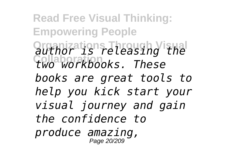**Read Free Visual Thinking: Empowering People Organizations Through Visual Collaboration** *author is releasing the two workbooks. These books are great tools to help you kick start your visual journey and gain the confidence to produce amazing,* Page 20/209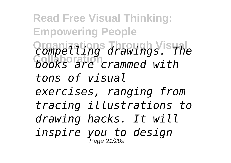**Read Free Visual Thinking: Empowering People Organizations Through Visual Collaboration** *compelling drawings. The books are crammed with tons of visual exercises, ranging from tracing illustrations to drawing hacks. It will inspire you to design* Page 21/209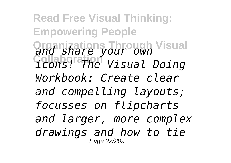**Read Free Visual Thinking: Empowering People Organizations Through Visual Collaboration** *and share your own icons! The Visual Doing Workbook: Create clear and compelling layouts; focusses on flipcharts and larger, more complex drawings and how to tie* Page 22/209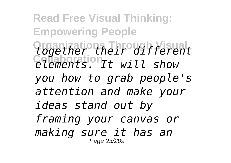**Read Free Visual Thinking: Empowering People Organizations Through Visual Collaboration** *together their different elements. It will show you how to grab people's attention and make your ideas stand out by framing your canvas or making sure it has an* Page 23/209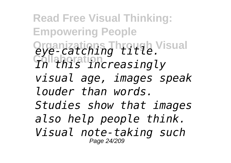**Read Free Visual Thinking: Empowering People Organizations Through Visual Collaboration** *eye-catching title. In this increasingly visual age, images speak louder than words. Studies show that images also help people think. Visual note-taking such* Page 24/209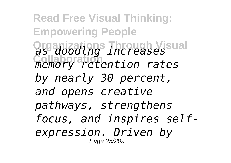**Read Free Visual Thinking: Empowering People Organizations Through Visual Collaboration** *as doodlng increases memory retention rates by nearly 30 percent, and opens creative pathways, strengthens focus, and inspires selfexpression. Driven by* Page 25/209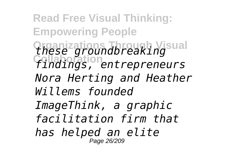**Read Free Visual Thinking: Empowering People Organizations Through Visual Collaboration** *these groundbreaking findings, entrepreneurs Nora Herting and Heather Willems founded ImageThink, a graphic facilitation firm that has helped an elite* Page 26/209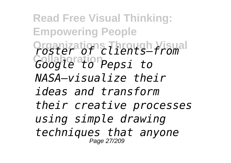**Read Free Visual Thinking: Empowering People Organizations Through Visual Collaboration** *roster of clients—from Google to Pepsi to NASA—visualize their ideas and transform their creative processes using simple drawing techniques that anyone* Page 27/209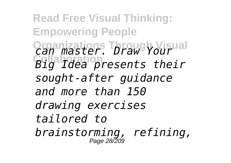**Read Free Visual Thinking: Empowering People Organizations Through Visual Collaboration** *can master. Draw Your Big Idea presents their sought-after guidance and more than 150 drawing exercises tailored to brainstorming, refining,* Page 28/209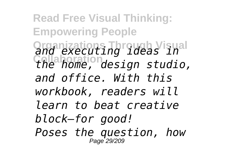**Read Free Visual Thinking: Empowering People Organizations Through Visual Collaboration** *and executing ideas in the home, design studio, and office. With this workbook, readers will learn to beat creative block—for good! Poses the question, how* Page 29/209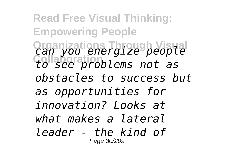**Read Free Visual Thinking: Empowering People Organizations Through Visual Collaboration** *can you energize people to see problems not as obstacles to success but as opportunities for innovation? Looks at what makes a lateral leader - the kind of* Page 30/209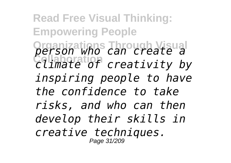**Read Free Visual Thinking: Empowering People Organizations Through Visual Collaboration** *person who can create a climate of creativity by inspiring people to have the confidence to take risks, and who can then develop their skills in creative techniques.* Page 31/209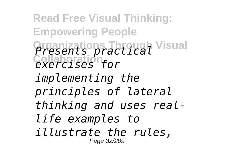**Read Free Visual Thinking: Empowering People Organizations Through Visual Collaboration** *Presents practical exercises for implementing the principles of lateral thinking and uses reallife examples to illustrate the rules,* Page 32/209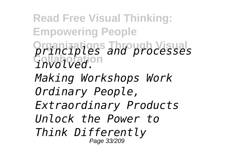**Read Free Visual Thinking: Empowering People Organizations Through Visual Collaboration** *principles and processes involved. Making Workshops Work Ordinary People, Extraordinary Products Unlock the Power to Think Differently* Page 33/209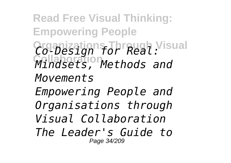**Read Free Visual Thinking: Empowering People Organizations Through Visual Collaboration** *Co-Design for Real: Mindsets, Methods and Movements Empowering People and Organisations through Visual Collaboration The Leader's Guide to* Page 34/209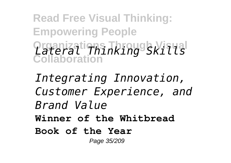**Read Free Visual Thinking: Empowering People Organizations Through Visual Collaboration** *Lateral Thinking Skills*

*Integrating Innovation, Customer Experience, and Brand Value* **Winner of the Whitbread Book of the Year** Page 35/209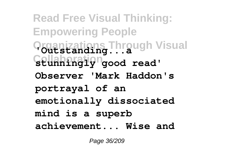**Read Free Visual Thinking: Empowering People Qrganizations Through Visual Collaboration stunningly good read' Observer 'Mark Haddon's portrayal of an emotionally dissociated mind is a superb achievement... Wise and**

Page 36/209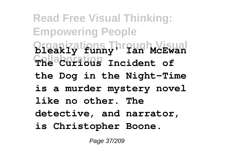**Read Free Visual Thinking: Empowering People Organizations Through Visual bleakly funny' Ian McEwan Collaboration The Curious Incident of the Dog in the Night-Time is a murder mystery novel like no other. The detective, and narrator, is Christopher Boone.**

Page 37/209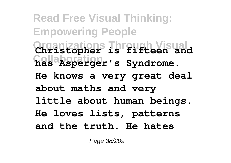**Read Free Visual Thinking: Empowering People Organizations Through Visual Christopher is fifteen and Collaboration has Asperger's Syndrome. He knows a very great deal about maths and very little about human beings. He loves lists, patterns and the truth. He hates**

Page 38/209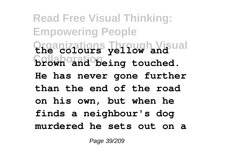**Read Free Visual Thinking: Empowering People Organizations Through Visual the colours yellow and Collaboration brown and being touched. He has never gone further than the end of the road on his own, but when he finds a neighbour's dog murdered he sets out on a**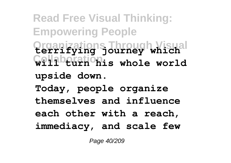**Read Free Visual Thinking: Empowering People Organizations Through Visual terrifying journey which Collaboushis whole world upside down. Today, people organize themselves and influence each other with a reach, immediacy, and scale few**

Page 40/209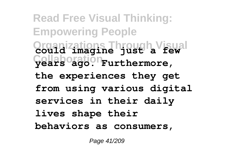**Read Free Visual Thinking: Empowering People Organizations Through Visual could imagine just a few Collaboration years ago. Furthermore, the experiences they get from using various digital services in their daily lives shape their behaviors as consumers,**

Page 41/209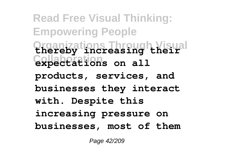**Read Free Visual Thinking: Empowering People Organizations Through Visual thereby increasing their Collaboration expectations on all products, services, and businesses they interact with. Despite this increasing pressure on businesses, most of them**

Page 42/209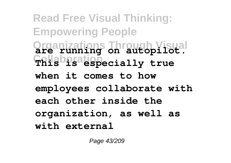**Read Free Visual Thinking: Empowering People Organizations Through Visual are running on autopilot. Collaboration This is especially true when it comes to how employees collaborate with each other inside the organization, as well as with external**

Page 43/209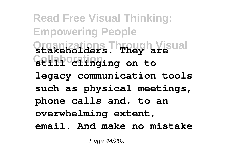**Read Free Visual Thinking: Empowering People Organizations Through Visual stakeholders. They are Collaboration still clinging on to legacy communication tools such as physical meetings, phone calls and, to an overwhelming extent, email. And make no mistake**

Page 44/209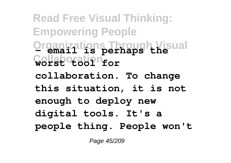**Read Free Visual Thinking: Empowering People Organizations Through Visual - email is perhaps the Collaboration worst tool for collaboration. To change this situation, it is not enough to deploy new digital tools. It's a people thing. People won't**

Page 45/209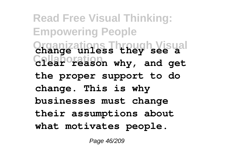**Read Free Visual Thinking: Empowering People Organizations Through Visual change unless they see a Collaboration clear reason why, and get the proper support to do change. This is why businesses must change their assumptions about what motivates people.**

Page 46/209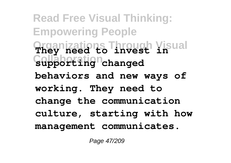**Read Free Visual Thinking: Empowering People Organizations Through Visual They need to invest in Collaboration supporting changed behaviors and new ways of working. They need to change the communication culture, starting with how management communicates.**

Page 47/209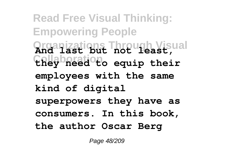**Read Free Visual Thinking: Empowering People Organizations Through Visual And last but not least, Collaboration they need to equip their employees with the same kind of digital superpowers they have as consumers. In this book, the author Oscar Berg**

Page 48/209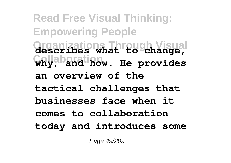**Read Free Visual Thinking: Empowering People Organizations Through Visual describes what to change, Collaboration why, and how. He provides an overview of the tactical challenges that businesses face when it comes to collaboration today and introduces some**

Page 49/209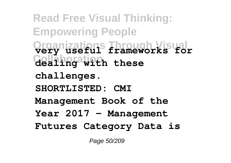**Read Free Visual Thinking: Empowering People Organizations Through Visual very useful frameworks for Collaboration dealing with these challenges. SHORTLISTED: CMI Management Book of the Year 2017 - Management Futures Category Data is**

Page 50/209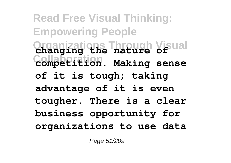**Read Free Visual Thinking: Empowering People Organizations Through Visual changing the nature of Collaboration competition. Making sense of it is tough; taking advantage of it is even tougher. There is a clear business opportunity for organizations to use data**

Page 51/209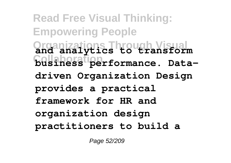**Read Free Visual Thinking: Empowering People Organizations Through Visual and analytics to transform Collaboration business performance. Datadriven Organization Design provides a practical framework for HR and organization design practitioners to build a**

Page 52/209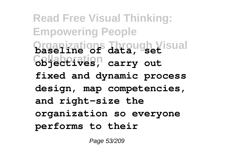**Read Free Visual Thinking: Empowering People Organizations Through Visual baseline of data, set Collaboration objectives, carry out fixed and dynamic process design, map competencies, and right-size the organization so everyone performs to their**

Page 53/209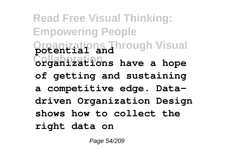**Read Free Visual Thinking: Empowering People Organizations Through Visual Collaboration organizations have a hope of getting and sustaining a competitive edge. Datadriven Organization Design shows how to collect the right data on**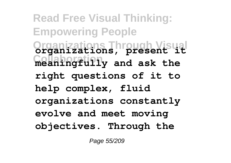**Read Free Visual Thinking: Empowering People Organizations Through Visual organizations, present it Collaboration meaningfully and ask the right questions of it to help complex, fluid organizations constantly evolve and meet moving objectives. Through the**

Page 55/209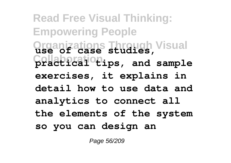**Read Free Visual Thinking: Empowering People Organizations Through Visual use of case studies, Collaboration practical tips, and sample exercises, it explains in detail how to use data and analytics to connect all the elements of the system so you can design an**

Page 56/209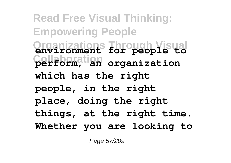**Read Free Visual Thinking: Empowering People Organizations Through Visual environment for people to Collaboration perform, an organization which has the right people, in the right place, doing the right things, at the right time. Whether you are looking to**

Page 57/209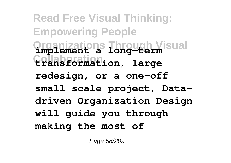**Read Free Visual Thinking: Empowering People Organizations Through Visual Collaboration transformation, large redesign, or a one-off small scale project, Datadriven Organization Design will guide you through making the most of**

Page 58/209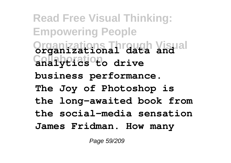**Read Free Visual Thinking: Empowering People Organizations Through Visual Collaboration analytics to drive business performance. The Joy of Photoshop is the long-awaited book from the social-media sensation James Fridman. How many**

Page 59/209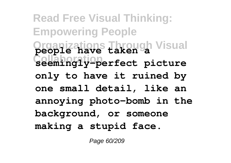**Read Free Visual Thinking: Empowering People Organizations Through Visual people have taken a Collaboration seemingly-perfect picture only to have it ruined by one small detail, like an annoying photo-bomb in the background, or someone making a stupid face.**

Page 60/209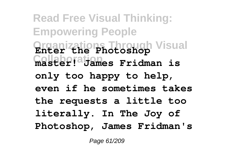**Read Free Visual Thinking: Empowering People Organizations Through Visual Enter the Photoshop Collaboration master! James Fridman is only too happy to help, even if he sometimes takes the requests a little too literally. In The Joy of Photoshop, James Fridman's**

Page 61/209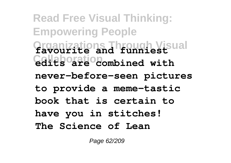**Read Free Visual Thinking: Empowering People Organizations Through Visual favourite and funniest Collaboration edits are combined with never-before-seen pictures to provide a meme-tastic book that is certain to have you in stitches! The Science of Lean**

Page 62/209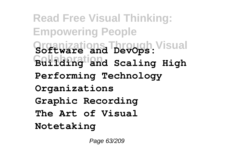**Read Free Visual Thinking: Empowering People Organizations Through Visual Software and DevOps: Collaboration Building and Scaling High Performing Technology Organizations Graphic Recording The Art of Visual Notetaking**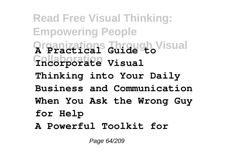**Read Free Visual Thinking: Empowering People Organizations Through Visual A Practical Guide to Collaboration Incorporate Visual Thinking into Your Daily Business and Communication When You Ask the Wrong Guy for Help A Powerful Toolkit for**

Page 64/209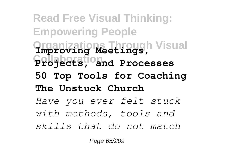**Read Free Visual Thinking: Empowering People Organizations Through Visual Improving Meetings, Collaboration Projects, and Processes 50 Top Tools for Coaching The Unstuck Church** *Have you ever felt stuck with methods, tools and skills that do not match*

Page 65/209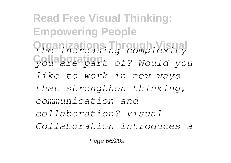**Read Free Visual Thinking: Empowering People Organizations Through Visual** *the increasing complexity* **Collaboration** *you are part of? Would you like to work in new ways that strengthen thinking, communication and collaboration? Visual Collaboration introduces a*

Page 66/209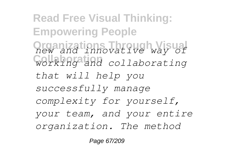**Read Free Visual Thinking: Empowering People Organizations Through Visual** *new and innovative way of* **Collaboration** *working and collaborating that will help you successfully manage complexity for yourself, your team, and your entire organization. The method*

Page 67/209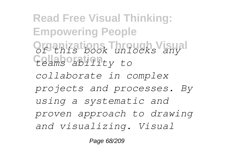**Read Free Visual Thinking: Empowering People Organizations Through Visual** *of this book unlocks any* **Collaboration** *teams ability to collaborate in complex projects and processes. By using a systematic and proven approach to drawing and visualizing. Visual*

Page 68/209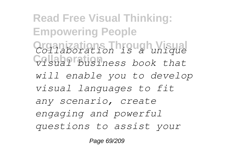**Read Free Visual Thinking: Empowering People Organizations Through Visual** *Collaboration is a unique* **Collaboration** *visual business book that will enable you to develop visual languages to fit any scenario, create engaging and powerful questions to assist your*

Page 69/209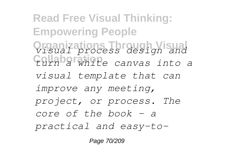**Read Free Visual Thinking: Empowering People Organizations Through Visual** *visual process design and* **Collaboration** *turn a white canvas into a visual template that can improve any meeting, project, or process. The core of the book - a practical and easy-to-*

Page 70/209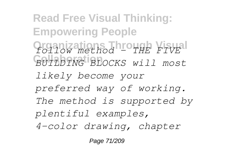**Read Free Visual Thinking: Empowering People Organizations Through Visual** *follow method - THE FIVE* **Collaboration** *BUILDING BLOCKS will most likely become your preferred way of working. The method is supported by plentiful examples, 4-color drawing, chapter*

Page 71/209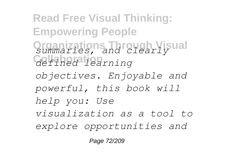**Read Free Visual Thinking: Empowering People Organizations Through Visual** *summaries, and clearly* **Collaboration** *defined learning objectives. Enjoyable and powerful, this book will help you: Use visualization as a tool to explore opportunities and*

Page 72/209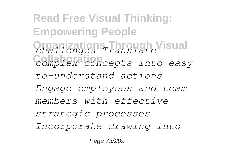**Read Free Visual Thinking: Empowering People Organizations Through Visual** *challenges Translate* **Collaboration** *complex concepts into easyto-understand actions Engage employees and team members with effective strategic processes Incorporate drawing into*

Page 73/209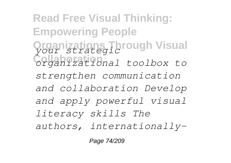**Read Free Visual Thinking: Empowering People Organizations Through Visual** *your strategic* **Collaboration** *organizational toolbox to strengthen communication and collaboration Develop and apply powerful visual literacy skills The authors, internationally-*

Page 74/209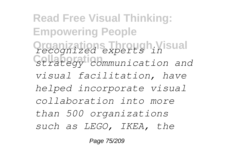**Read Free Visual Thinking: Empowering People Organizations Through Visual** *recognized experts in* **Collaboration** *strategy communication and visual facilitation, have helped incorporate visual collaboration into more than 500 organizations such as LEGO, IKEA, the*

Page 75/209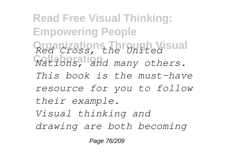**Read Free Visual Thinking: Empowering People Organizations Through Visual** *Red Cross, the United* **Collaboration** *Nations, and many others. This book is the must-have resource for you to follow their example. Visual thinking and drawing are both becoming*

Page 76/209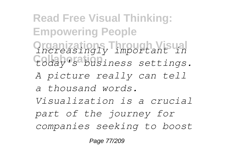**Read Free Visual Thinking: Empowering People Organizations Through Visual** *increasingly important in* **Collaboration** *today's business settings. A picture really can tell a thousand words. Visualization is a crucial part of the journey for companies seeking to boost*

Page 77/209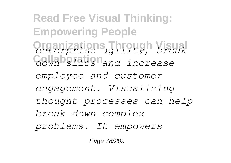**Read Free Visual Thinking: Empowering People Organizations Through Visual** *enterprise agility, break* **Collaboration** *down silos and increase employee and customer engagement. Visualizing thought processes can help break down complex problems. It empowers*

Page 78/209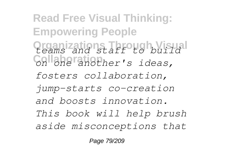**Read Free Visual Thinking: Empowering People Organizations Through Visual** *teams and staff to build* **Collaboration** *on one another's ideas, fosters collaboration, jump-starts co-creation and boosts innovation. This book will help brush aside misconceptions that*

Page 79/209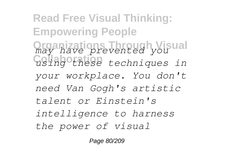**Read Free Visual Thinking: Empowering People Organizations Through Visual** *may have prevented you* **Collaboration** *using these techniques in your workplace. You don't need Van Gogh's artistic talent or Einstein's intelligence to harness the power of visual*

Page 80/209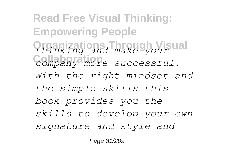**Read Free Visual Thinking: Empowering People Organizations Through Visual** *thinking and make your*  $\overline{c}$ Ompany more successful. *With the right mindset and the simple skills this book provides you the skills to develop your own signature and style and*

Page 81/209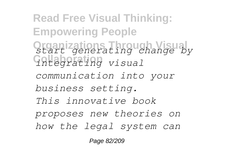**Read Free Visual Thinking: Empowering People Organizations Through Visual** *start generating change by* **Collaboration** *integrating visual communication into your business setting. This innovative book proposes new theories on how the legal system can*

Page 82/209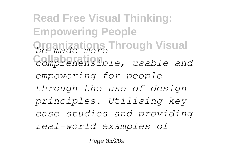**Read Free Visual Thinking: Empowering People Organizations Through Visual** *be made more* **Collaboration** *comprehensible, usable and empowering for people through the use of design principles. Utilising key case studies and providing real-world examples of*

Page 83/209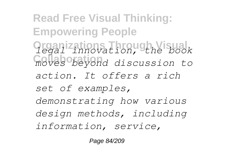**Read Free Visual Thinking: Empowering People Organizations Through Visual** *legal innovation, the book* **Collaboration** *moves beyond discussion to action. It offers a rich set of examples, demonstrating how various design methods, including information, service,*

Page 84/209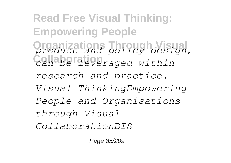**Read Free Visual Thinking: Empowering People Organizations Through Visual** *product and policy design,* **Collaboration** *can be leveraged within research and practice. Visual ThinkingEmpowering People and Organisations through Visual CollaborationBIS*

Page 85/209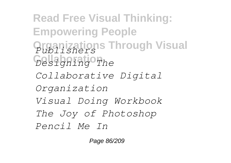**Read Free Visual Thinking: Empowering People Organizations Through Visual** *Publishers* **Collaboration** *Designing The Collaborative Digital Organization Visual Doing Workbook The Joy of Photoshop Pencil Me In*

Page 86/209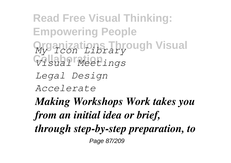**Read Free Visual Thinking: Empowering People Organizations Through Visual** *My Icon Library* **Collaboration** *Visual Meetings Legal Design Accelerate Making Workshops Work takes you from an initial idea or brief, through step-by-step preparation, to* Page 87/209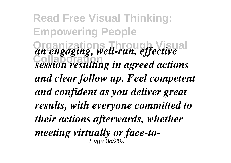**Read Free Visual Thinking: Empowering People Organizations Through Visual** *an engaging, well-run, effective* **Collaboration** *session resulting in agreed actions and clear follow up. Feel competent and confident as you deliver great results, with everyone committed to their actions afterwards, whether meeting virtually or face-to-*Page 88/209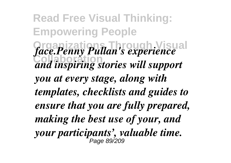**Read Free Visual Thinking: Empowering People Organizations Through Visual** *face.Penny Pullan's experience* **Collaboration** *and inspiring stories will support you at every stage, along with templates, checklists and guides to ensure that you are fully prepared, making the best use of your, and your participants', valuable time.* Page 89/209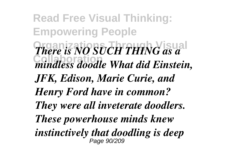**Read Free Visual Thinking: Empowering People Organizations Through Visual** *There is NO SUCH THING as a* **Collaboration** *mindless doodle What did Einstein, JFK, Edison, Marie Curie, and Henry Ford have in common? They were all inveterate doodlers. These powerhouse minds knew instinctively that doodling is deep* Page 90/209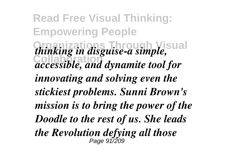**Read Free Visual Thinking: Empowering People Organizations Through Visual** *thinking in disguise-a simple,* **Collaboration** *accessible, and dynamite tool for innovating and solving even the stickiest problems. Sunni Brown's mission is to bring the power of the Doodle to the rest of us. She leads the Revolution defying all those* Page 91/209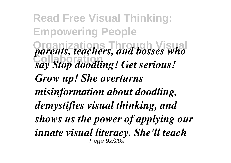**Read Free Visual Thinking: Empowering People Organizations Through Visual** *parents, teachers, and bosses who* **Collaboration** *say Stop doodling! Get serious! Grow up! She overturns misinformation about doodling, demystifies visual thinking, and shows us the power of applying our innate visual literacy. She'll teach* Page 92/209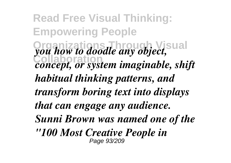**Read Free Visual Thinking: Empowering People Organizations Through Visual** *you how to doodle any object,* **Collaboration** *concept, or system imaginable, shift habitual thinking patterns, and transform boring text into displays that can engage any audience. Sunni Brown was named one of the "100 Most Creative People in* Page 93/209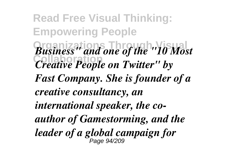**Read Free Visual Thinking: Empowering People Organizations Through Visual** *Business" and one of the "10 Most* **Collaboration** *Creative People on Twitter" by Fast Company. She is founder of a creative consultancy, an international speaker, the coauthor of Gamestorming, and the leader of a global campaign for* Page 94/209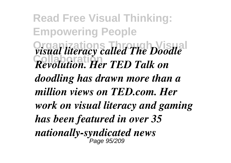**Read Free Visual Thinking: Empowering People Organizations Through Visual** *visual literacy called The Doodle* **Collaboration** *Revolution. Her TED Talk on doodling has drawn more than a million views on TED.com. Her work on visual literacy and gaming has been featured in over 35 nationally-syndicated news* Page 95/209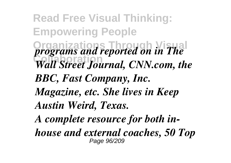**Read Free Visual Thinking: Empowering People Organizations Through Visual** *programs and reported on in The* **Collaboration COLLABOR COLLABOR COLLABOR COLLABOR COLLABOR COLLABOR COLLABOR COLLABOR COLLABOR COLLABOR** *BBC, Fast Company, Inc. Magazine, etc. She lives in Keep Austin Weird, Texas. A complete resource for both inhouse and external coaches, 50 Top* Page 96/209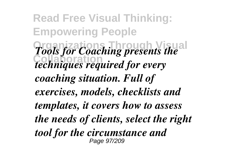**Read Free Visual Thinking: Empowering People Tools for Coaching presents the Collaboration** *techniques required for every coaching situation. Full of exercises, models, checklists and templates, it covers how to assess the needs of clients, select the right tool for the circumstance and* Page 97/209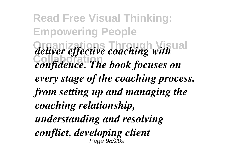**Read Free Visual Thinking: Empowering People Organizations Through Visual** *deliver effective coaching with* **Collaboration** *confidence. The book focuses on every stage of the coaching process, from setting up and managing the coaching relationship, understanding and resolving conflict, developing client* Page 98/209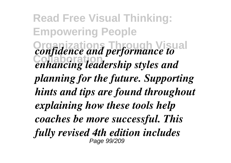**Read Free Visual Thinking: Empowering People Organizations Through Visual** *confidence and performance to* **Collaboration** *enhancing leadership styles and planning for the future. Supporting hints and tips are found throughout explaining how these tools help coaches be more successful. This fully revised 4th edition includes* Page 99/209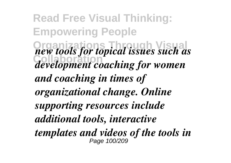**Read Free Visual Thinking: Empowering People Organizations Through Visual** *new tools for topical issues such as* **Collaboration** *development coaching for women and coaching in times of organizational change. Online supporting resources include additional tools, interactive templates and videos of the tools in* Page 100/209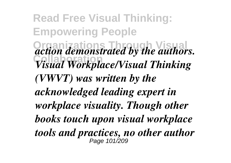**Read Free Visual Thinking: Empowering People Organizations Through Visual** *action demonstrated by the authors.* **Collaboration** *Visual Workplace/Visual Thinking (VWVT) was written by the acknowledged leading expert in workplace visuality. Though other books touch upon visual workplace tools and practices, no other author* Page 101/209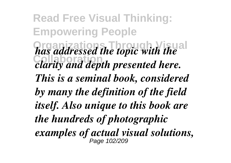**Read Free Visual Thinking: Empowering People** has addressed the topic with the **Collaboration** *clarity and depth presented here. This is a seminal book, considered by many the definition of the field itself. Also unique to this book are the hundreds of photographic examples of actual visual solutions,* Page 102/209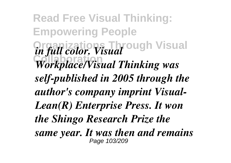**Read Free Visual Thinking: Empowering People**  $\hat{u}$ *in full color. Visual Collaboration*<br> *Corkplace/Visual Thinking was self-published in 2005 through the author's company imprint Visual-Lean(R) Enterprise Press. It won the Shingo Research Prize the same year. It was then and remains* Page 103/209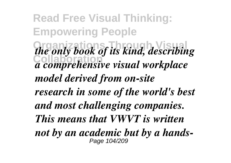**Read Free Visual Thinking: Empowering People** *the only book of its kind, describing* **Collaboration** *a comprehensive visual workplace model derived from on-site research in some of the world's best and most challenging companies. This means that VWVT is written not by an academic but by a hands-*Page 104/209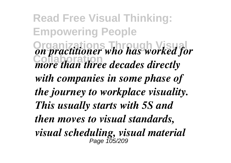**Read Free Visual Thinking: Empowering People On practitioner who has worked for Collaboration** *more than three decades directly with companies in some phase of the journey to workplace visuality. This usually starts with 5S and then moves to visual standards, visual scheduling, visual material* Page 105/209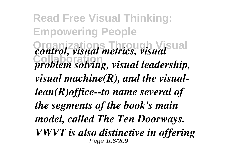**Read Free Visual Thinking: Empowering People Organizations Through Visual** *control, visual metrics, visual* **Collaboration** *problem solving, visual leadership, visual machine(R), and the visuallean(R)office--to name several of the segments of the book's main model, called The Ten Doorways. VWVT is also distinctive in offering* Page 106/209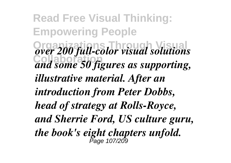**Read Free Visual Thinking: Empowering People Organizations Through Visual** *over 200 full-color visual solutions* **Collaboration** *and some 50 figures as supporting, illustrative material. After an introduction from Peter Dobbs, head of strategy at Rolls-Royce, and Sherrie Ford, US culture guru, the book's eight chapters unfold.* Page 107/209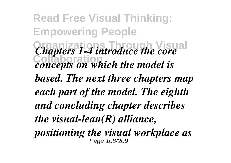**Read Free Visual Thinking: Empowering People Chapters 1-4 introduce the core Concepts on which the model is** *based. The next three chapters map each part of the model. The eighth and concluding chapter describes the visual-lean(R) alliance, positioning the visual workplace as* Page 108/209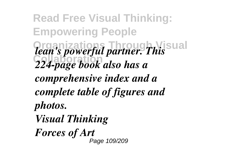**Read Free Visual Thinking: Empowering People Organizations Through Visual** *lean's powerful partner. This* **Collaboration** *224-page book also has a comprehensive index and a complete table of figures and photos. Visual Thinking Forces of Art* Page 109/209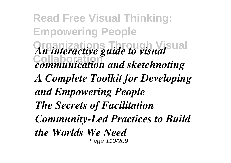**Read Free Visual Thinking: Empowering People Organizations Through Visual** *An interactive guide to visual* **Collaboration** *communication and sketchnoting A Complete Toolkit for Developing and Empowering People The Secrets of Facilitation Community-Led Practices to Build the Worlds We Need* Page 110/209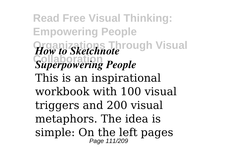**Read Free Visual Thinking: Empowering People** How to Sketchnote<sup>Through</sup> Visual **Collaboration** This is an inspirational workbook with 100 visual triggers and 200 visual metaphors. The idea is simple: On the left pages Page 111/209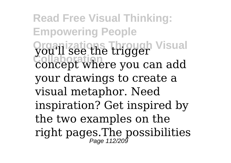**Read Free Visual Thinking: Empowering People Organizations Through Visual**<br> **Condant** whore you can add concept where you can add your drawings to create a visual metaphor. Need inspiration? Get inspired by the two examples on the right pages.The possibilities Page 112/209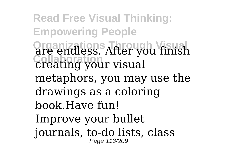**Read Free Visual Thinking: Empowering People Organizations Through Visual Collaboration** are endless. After you finish creating your visual metaphors, you may use the drawings as a coloring book.Have fun! Improve your bullet journals, to-do lists, class Page 113/209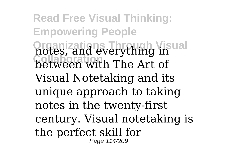**Read Free Visual Thinking: Empowering People** Organizations Through Isual<br> **Collaboration** notes that the Art of between with The Art of Visual Notetaking and its unique approach to taking notes in the twenty-first century. Visual notetaking is the perfect skill for Page 114/209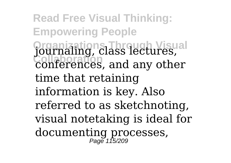**Read Free Visual Thinking: Empowering People** Organizations Through Visual<br> **Conferences** and any other conferences, and any other time that retaining information is key. Also referred to as sketchnoting, visual notetaking is ideal for documenting processes, Page 115/209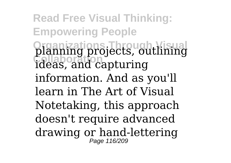**Read Free Visual Thinking: Empowering People Organizations Through Visual Collaboration** planning projects, outlining ideas, and capturing information. And as you'll learn in The Art of Visual Notetaking, this approach doesn't require advanced drawing or hand-lettering Page 116/209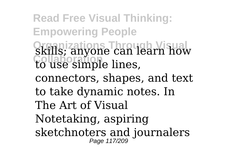**Read Free Visual Thinking: Empowering People** Okills; anyone can learn how to use simple lines, connectors, shapes, and text to take dynamic notes. In The Art of Visual Notetaking, aspiring sketchnoters and journalers<br>ر<sub>Page 117/209</sub>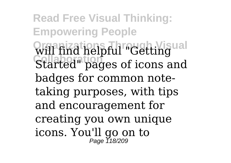**Read Free Visual Thinking: Empowering People Organizations Through Visual** Started" pages of icons and badges for common notetaking purposes, with tips and encouragement for creating you own unique icons. You'll go on to Page 118/209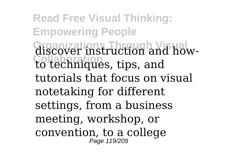**Read Free Visual Thinking: Empowering People Organizations Through Viscover instruction and how**to techniques, tips, and tutorials that focus on visual notetaking for different settings, from a business meeting, workshop, or convention, to a college Page 119/209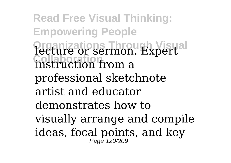**Read Free Visual Thinking: Empowering People Organizations Through Visual Collaboration** lecture or sermon. Expert instruction from a professional sketchnote artist and educator demonstrates how to visually arrange and compile ideas, focal points, and key Page 120/209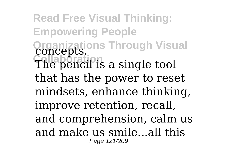**Read Free Visual Thinking: Empowering People Organizations Through Visual Collaboration** concepts. The pencil is a single tool that has the power to reset mindsets, enhance thinking, improve retention, recall, and comprehension, calm us and make us smile...all this Page 121/209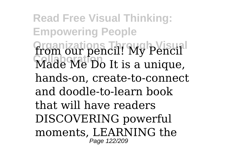**Read Free Visual Thinking: Empowering People Crom our pencil! My Pencil!** Made Me Do It is a unique, hands-on, create-to-connect and doodle-to-learn book that will have readers DISCOVERING powerful moments, LEARNING the Page 122/209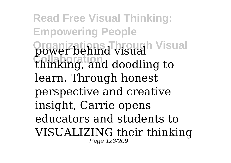**Read Free Visual Thinking: Empowering People Organizations Through Visual**<br> **Collaboration**<br> **Collaboration** power behind to thinking, and doodling to learn. Through honest perspective and creative insight, Carrie opens educators and students to VISUALIZING their thinking Page 123/209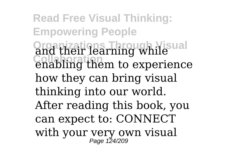**Read Free Visual Thinking: Empowering People** Organizations Through Visual<br>
Collaboration and the organizations of the corporations of the corporations of the corporations of the corporations of the corporations of the corporations of the corporations of the corporati enabling them to experience how they can bring visual thinking into our world. After reading this book, you can expect to: CONNECT with your very own visual Page 124/209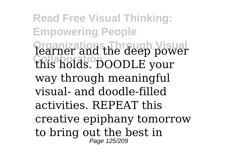**Read Free Visual Thinking: Empowering People Dramization**<br> **Collaboration**<br> **Collaboration**<br> **Collaboration**<br> **Collaboration**<br> **Collaboration** this holds. DOODLE your way through meaningful visual- and doodle-filled activities. REPEAT this creative epiphany tomorrow to bring out the best in Page 125/209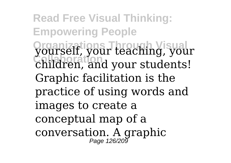**Read Free Visual Thinking: Empowering People Organizations Through Visual Collaboration** yourself, your teaching, your children, and your students! Graphic facilitation is the practice of using words and images to create a conceptual map of a conversation. A graphic Page 126/209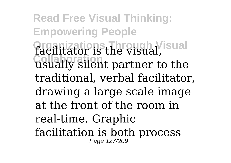**Read Free Visual Thinking: Empowering People Organizations Through Visual**<br>Collaboration<br>Collaboration factbor to the usually silent partner to the traditional, verbal facilitator, drawing a large scale image at the front of the room in real-time. Graphic facilitation is both process Page 127/209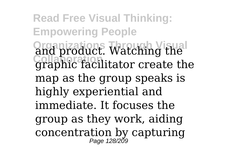**Read Free Visual Thinking: Empowering People** Organizations Watching the graphic facilitator create the map as the group speaks is highly experiential and immediate. It focuses the group as they work, aiding concentration by capturing Page 128/209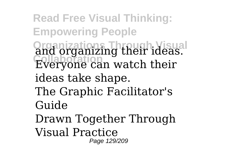**Read Free Visual Thinking: Empowering People** Organizing their ideas. Everyone can watch their ideas take shape. The Graphic Facilitator's Guide Drawn Together Through Visual Practice Page 129/209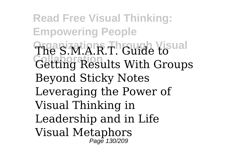**Read Free Visual Thinking: Empowering People Organizations Through Visual Collaboration** The S.M.A.R.T. Guide to Getting Results With Groups Beyond Sticky Notes Leveraging the Power of Visual Thinking in Leadership and in Life Visual Metaphors Page 130/209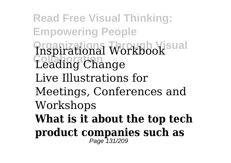**Read Free Visual Thinking: Empowering People Organizations Through Visual Collaboration** Inspirational Workbook Leading Change Live Illustrations for Meetings, Conferences and Workshops **What is it about the top tech product companies such as** Page 131/209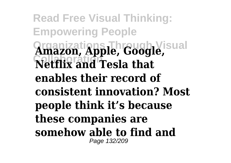**Read Free Visual Thinking: Empowering People Organizations Through Visual Netflix and Tesla that enables their record of consistent innovation? Most people think it's because these companies are somehow able to find and** Page 132/209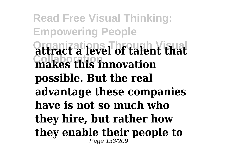**Read Free Visual Thinking: Empowering People Organizations Through Visual Collaboration attract a level of talent that makes this innovation possible. But the real advantage these companies have is not so much who they hire, but rather how they enable their people to** Page 133/209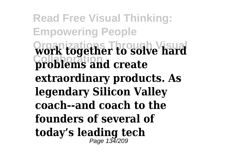**Read Free Visual Thinking: Empowering People Organizations Through Visual Collaboration work together to solve hard problems and create extraordinary products. As legendary Silicon Valley coach--and coach to the founders of several of today's leading tech** Page 134/209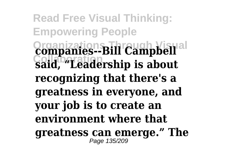**Read Free Visual Thinking: Empowering People Organizations Through Visual**<br>**Companies--Bill Campbell**<br>Cold<sup>ino</sup>d allaboration is about **said, "Leadership is about recognizing that there's a greatness in everyone, and your job is to create an environment where that greatness can emerge." The** Page 135/209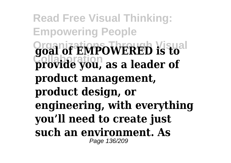**Read Free Visual Thinking: Empowering People Organizations Through Visual Collaboration goal of EMPOWERED is to provide you, as a leader of product management, product design, or engineering, with everything you'll need to create just such an environment. As** Page 136/209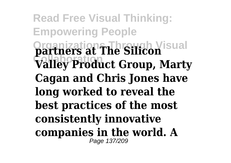**Read Free Visual Thinking: Empowering People Organization The Silicon**<br> **Collaboration**<br> **Collaboration Valley Product Group, Marty Cagan and Chris Jones have long worked to reveal the best practices of the most consistently innovative companies in the world. A** Page 137/209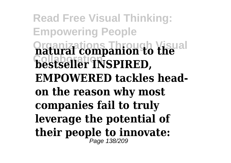**Read Free Visual Thinking: Empowering People Organizations Through Visual<br>
<b>natural companion to the**<br> **Cortegial Wisprer bestseller INSPIRED, EMPOWERED tackles headon the reason why most companies fail to truly leverage the potential of their people to innovate:** Page 138/209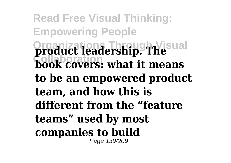**Read Free Visual Thinking: Empowering People Organizations Through Wisual**<br> **Collaboration**<br> **Collaboration** what it means **book covers: what it means to be an empowered product team, and how this is different from the "feature teams" used by most companies to build** Page 139/209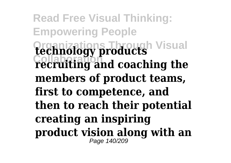**Read Free Visual Thinking: Empowering People Organizations Through Visual**<br>**Collaboration**<br>Collaboration<sup>2</sup>and coaching the **recruiting and coaching the members of product teams, first to competence, and then to reach their potential creating an inspiring product vision along with an** Page 140/209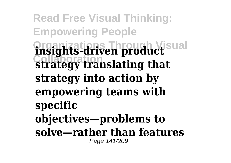**Read Free Visual Thinking: Empowering People Organizations Through Visual**<br> **Collaboration**<br> **Collaboration**<br> **Collaboration strategy translating that strategy into action by empowering teams with specific objectives—problems to solve—rather than features** Page 141/209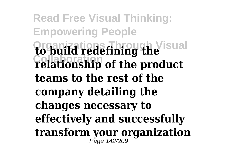**Read Free Visual Thinking: Empowering People Organizations Through Visual Collaboration to build redefining the relationship of the product teams to the rest of the company detailing the changes necessary to effectively and successfully transform your organization** Page 142/209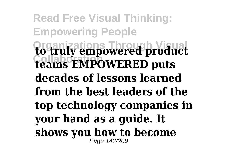**Read Free Visual Thinking: Empowering People Organizations Through Visual Learning Collaboration Collaboration Collaboration teams EMPOWERED puts decades of lessons learned from the best leaders of the top technology companies in your hand as a guide. It shows you how to become** Page 143/209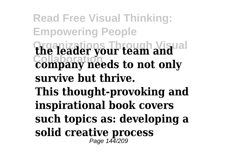**Read Free Visual Thinking: Empowering People Organizations Through Visual Collaboration the leader your team and company needs to not only survive but thrive. This thought-provoking and inspirational book covers such topics as: developing a solid creative process** Page 144/209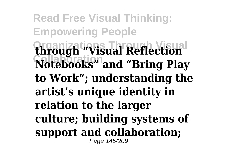**Read Free Visual Thinking: Empowering People Organizations Through Visual Collaboration through "Visual Reflection Notebooks" and "Bring Play to Work"; understanding the artist's unique identity in relation to the larger culture; building systems of support and collaboration;** Page 145/209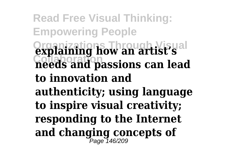**Read Free Visual Thinking: Empowering People Organizations Through Visual Collaboration explaining how an artist's needs and passions can lead to innovation and authenticity; using language to inspire visual creativity; responding to the Internet and changing concepts of** Page 146/209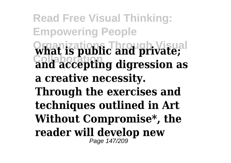**Read Free Visual Thinking: Empowering People Organizations Through Visual Collaboration what is public and private; and accepting digression as a creative necessity. Through the exercises and techniques outlined in Art Without Compromise\*, the reader will develop new** Page 147/209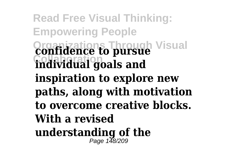**Read Free Visual Thinking: Empowering People Organizations Through Visual<br><b>Confidence to pursue**<br>**Codidation** and **individual goals and inspiration to explore new paths, along with motivation to overcome creative blocks. With a revised understanding of the** Page 148/209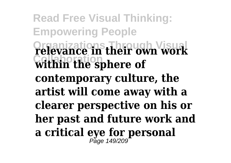**Read Free Visual Thinking: Empowering People Organizations Through Visual Collaboration relevance in their own work within the sphere of contemporary culture, the artist will come away with a clearer perspective on his or her past and future work and a critical eye for personal** Page 149/209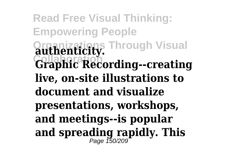**Read Free Visual Thinking: Empowering People Organizations Through Visual Collaboration authenticity. Graphic Recording--creating live, on-site illustrations to document and visualize presentations, workshops, and meetings--is popular and spreading rapidly. This** Page 150/209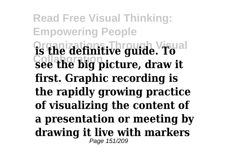**Read Free Visual Thinking: Empowering People Organizations Through Visual Collaboration is the definitive guide. To see the big picture, draw it first. Graphic recording is the rapidly growing practice of visualizing the content of a presentation or meeting by drawing it live with markers** Page 151/209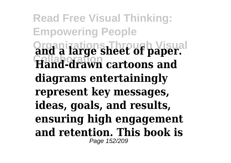**Read Free Visual Thinking: Empowering People Organizations Through Visual Collaboration and a large sheet of paper. Hand-drawn cartoons and diagrams entertainingly represent key messages, ideas, goals, and results, ensuring high engagement and retention. This book is** Page 152/209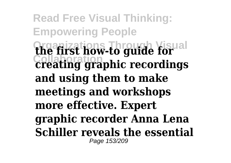**Read Free Visual Thinking: Empowering People Organizations Through Visual<br>
<b>The first how-to guide for**<br>
Collaboration his recordings **creating graphic recordings and using them to make meetings and workshops more effective. Expert graphic recorder Anna Lena Schiller reveals the essential** Page 153/209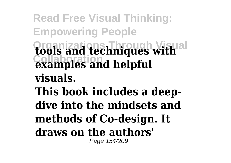**Read Free Visual Thinking: Empowering People Organizations Through Visual Collaboration tools and techniques with examples and helpful visuals. This book includes a deepdive into the mindsets and methods of Co-design. It draws on the authors'** Page 154/209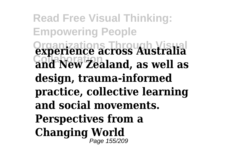**Read Free Visual Thinking: Empowering People Organizations Through Visual Collaboration experience across Australia and New Zealand, as well as design, trauma-informed practice, collective learning and social movements. Perspectives from a Changing World** Page 155/209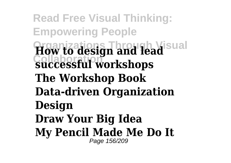**Read Free Visual Thinking: Empowering People Organizations Through Visual**<br>Collaboration<br>Collaboration **successful workshops The Workshop Book Data-driven Organization Design Draw Your Big Idea My Pencil Made Me Do It** Page 156/209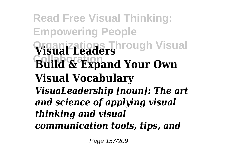**Read Free Visual Thinking: Empowering People Organizations Through Visual Collaboration Visual Leaders Build & Expand Your Own Visual Vocabulary** *VisuaLeadership [noun]: The art and science of applying visual thinking and visual communication tools, tips, and*

Page 157/209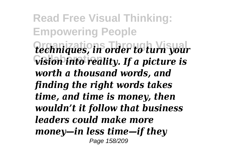**Read Free Visual Thinking: Empowering People Organizations Through Visual** *techniques, in order to turn your* **Collaboration** *vision into reality. If a picture is worth a thousand words, and finding the right words takes time, and time is money, then wouldn't it follow that business leaders could make more money—in less time—if they* Page 158/209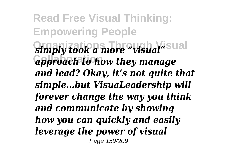**Read Free Visual Thinking: Empowering People** Simply took a more "visual"<sup>sual</sup> **Collaboration** *approach to how they manage and lead? Okay, it's not quite that simple…but VisuaLeadership will forever change the way you think and communicate by showing how you can quickly and easily leverage the power of visual* Page 159/209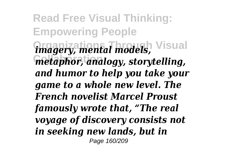**Read Free Visual Thinking: Empowering People** *imagery, mental models, Visual* metaphor, analogy, storytelling, *and humor to help you take your game to a whole new level. The French novelist Marcel Proust famously wrote that, "The real voyage of discovery consists not in seeking new lands, but in* Page 160/209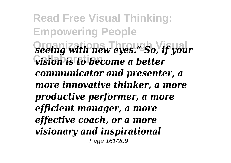**Read Free Visual Thinking: Empowering People Organizations Through Visual** *seeing with new eyes." So, if your* **Collaboration** *vision is to become a better communicator and presenter, a more innovative thinker, a more productive performer, a more efficient manager, a more effective coach, or a more visionary and inspirational* Page 161/209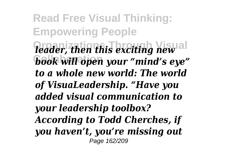**Read Free Visual Thinking: Empowering People Organizations Through Visual** *leader, then this exciting new* **Collaboration** *book will open your "mind's eye" to a whole new world: The world of VisuaLeadership. "Have you added visual communication to your leadership toolbox? According to Todd Cherches, if you haven't, you're missing out* Page 162/209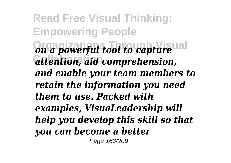**Read Free Visual Thinking: Empowering People Organizations Through Visual** *on a powerful tool to capture* **Collaboration** *attention, aid comprehension, and enable your team members to retain the information you need them to use. Packed with examples, VisuaLeadership will help you develop this skill so that you can become a better* Page 163/209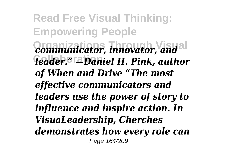**Read Free Visual Thinking: Empowering People Organizations Through Visual** *communicator, innovator, and* **Collaboration** *leader." —Daniel H. Pink, author of When and Drive "The most effective communicators and leaders use the power of story to influence and inspire action. In VisuaLeadership, Cherches demonstrates how every role can* Page 164/209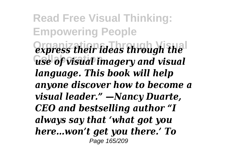**Read Free Visual Thinking: Empowering People Organizations Through Visual** *express their ideas through the* **Collaboration** *use of visual imagery and visual language. This book will help anyone discover how to become a visual leader." —Nancy Duarte, CEO and bestselling author "I always say that 'what got you here…won't get you there.' To* Page 165/209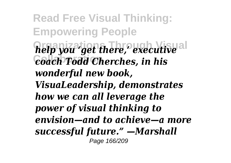**Read Free Visual Thinking: Empowering People** help you 'get there,' executive<sup>al</sup>  $\overline{coach}$  Todd Cherches, in his *wonderful new book, VisuaLeadership, demonstrates how we can all leverage the power of visual thinking to envision—and to achieve—a more successful future." —Marshall* Page 166/209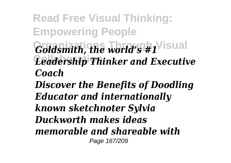**Read Free Visual Thinking: Empowering People** *Goldsmith, the world's #1*Visual **Collaboration** *Leadership Thinker and Executive Coach*

*Discover the Benefits of Doodling Educator and internationally known sketchnoter Sylvia Duckworth makes ideas memorable and shareable with* Page 167/209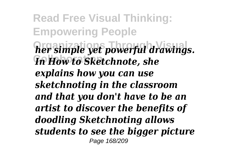**Read Free Visual Thinking: Empowering People Organizations Through Visual** *her simple yet powerful drawings.*  $\widehat{In}$  How to Sketchnote, she *explains how you can use sketchnoting in the classroom and that you don't have to be an artist to discover the benefits of doodling Sketchnoting allows students to see the bigger picture* Page 168/209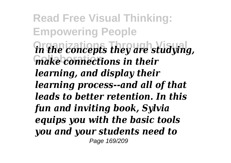**Read Free Visual Thinking: Empowering People Organizations Through Visual** *in the concepts they are studying, make connections in their learning, and display their learning process--and all of that leads to better retention. In this fun and inviting book, Sylvia equips you with the basic tools you and your students need to* Page 169/209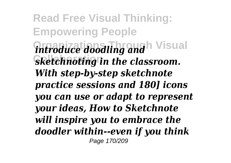**Read Free Visual Thinking: Empowering People** *introduce doodling and h Visual* **Collaboration** *sketchnoting in the classroom. With step-by-step sketchnote practice sessions and 180] icons you can use or adapt to represent your ideas, How to Sketchnote will inspire you to embrace the doodler within--even if you think* Page 170/209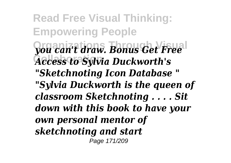**Read Free Visual Thinking: Empowering People Organizations Through Visual** *you can't draw. Bonus Get Free* **Collaboration** *Access to Sylvia Duckworth's "Sketchnoting Icon Database " "Sylvia Duckworth is the queen of classroom Sketchnoting . . . . Sit down with this book to have your own personal mentor of sketchnoting and start* Page 171/209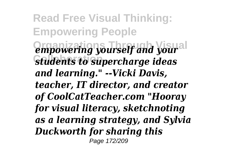**Read Free Visual Thinking: Empowering People** *<u>empowering yourself and youral</u>* **Collaboration** *students to supercharge ideas and learning." --Vicki Davis, teacher, IT director, and creator of CoolCatTeacher.com "Hooray for visual literacy, sketchnoting as a learning strategy, and Sylvia Duckworth for sharing this* Page 172/209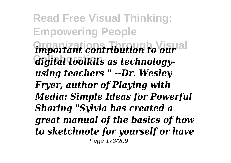**Read Free Visual Thinking: Empowering People** *important contribution to our* al **Collaboration** *digital toolkits as technologyusing teachers " --Dr. Wesley Fryer, author of Playing with Media: Simple Ideas for Powerful Sharing "Sylvia has created a great manual of the basics of how to sketchnote for yourself or have* Page 173/209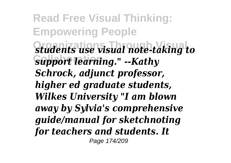**Read Free Visual Thinking: Empowering People Organizations Through Visual** *students use visual note-taking to* **Collaboration** *support learning." --Kathy Schrock, adjunct professor, higher ed graduate students, Wilkes University "I am blown away by Sylvia's comprehensive guide/manual for sketchnoting for teachers and students. It* Page 174/209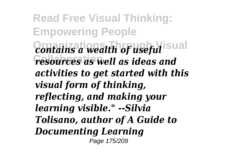**Read Free Visual Thinking: Empowering People** *Contains a wealth of useful* isual **Collaboration** *resources as well as ideas and activities to get started with this visual form of thinking, reflecting, and making your learning visible." --Silvia Tolisano, author of A Guide to Documenting Learning* Page 175/209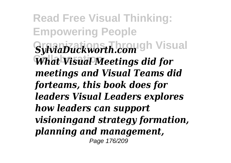**Read Free Visual Thinking: Empowering People** SylviaDuckworth.com gh Visual  $\widetilde{W}$ hat Visual Meetings did for *meetings and Visual Teams did forteams, this book does for leaders Visual Leaders explores how leaders can support visioningand strategy formation, planning and management,* Page 176/209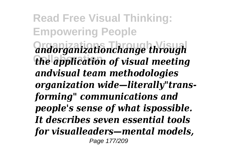**Read Free Visual Thinking: Empowering People Organizations Through Visual** *andorganizationchange through* **Collaboration** *the application of visual meeting andvisual team methodologies organization wide—literally"transforming" communications and people's sense of what ispossible. It describes seven essential tools for visualleaders—mental models,* Page 177/209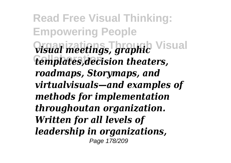**Read Free Visual Thinking: Empowering People Visual meetings, graphic** Visual **Collaboration** *templates,decision theaters, roadmaps, Storymaps, and virtualvisuals—and examples of methods for implementation throughoutan organization. Written for all levels of leadership in organizations,* Page 178/209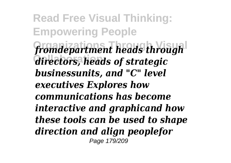**Read Free Visual Thinking: Empowering People Organizations Through Visual** *fromdepartment heads through* **Collaboration** *directors, heads of strategic businessunits, and "C" level executives Explores how communications has become interactive and graphicand how these tools can be used to shape direction and align peoplefor* Page 179/209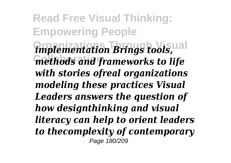**Read Free Visual Thinking: Empowering People** *implementation Brings tools,* **Collaboration** *methods and frameworks to life with stories ofreal organizations modeling these practices Visual Leaders answers the question of how designthinking and visual literacy can help to orient leaders to thecomplexity of contemporary* Page 180/209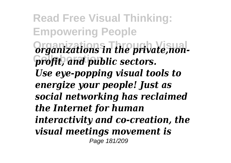**Read Free Visual Thinking: Empowering People Organizations Through Visual** *organizations in the private,non-***Collaboration** *profit, and public sectors. Use eye-popping visual tools to energize your people! Just as social networking has reclaimed the Internet for human interactivity and co-creation, the visual meetings movement is* Page 181/209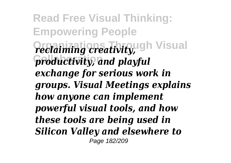**Read Free Visual Thinking: Empowering People Organizations Through Visual** *reclaiming creativity,* productivity, and playful *exchange for serious work in groups. Visual Meetings explains how anyone can implement powerful visual tools, and how these tools are being used in Silicon Valley and elsewhere to* Page 182/209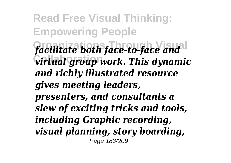**Read Free Visual Thinking: Empowering People Organizations Through Visual** *facilitate both face-to-face and* **Collaboration** *virtual group work. This dynamic and richly illustrated resource gives meeting leaders, presenters, and consultants a slew of exciting tricks and tools, including Graphic recording, visual planning, story boarding,* Page 183/209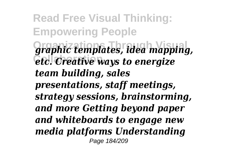**Read Free Visual Thinking: Empowering People Organizations Through Visual** *graphic templates, idea mapping,* etc. Creative ways to energize *team building, sales presentations, staff meetings, strategy sessions, brainstorming, and more Getting beyond paper and whiteboards to engage new media platforms Understanding* Page 184/209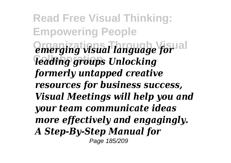**Read Free Visual Thinking: Empowering People Organizations Through Visual** *emerging visual language for* **Collaboration** *leading groups Unlocking formerly untapped creative resources for business success, Visual Meetings will help you and your team communicate ideas more effectively and engagingly. A Step-By-Step Manual for* Page 185/209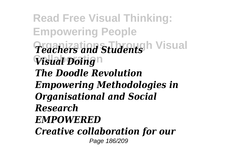**Read Free Visual Thinking: Empowering People Teachers and Students Nisual Visual Doing**<sup>n</sup> *The Doodle Revolution Empowering Methodologies in Organisational and Social Research EMPOWERED Creative collaboration for our* Page 186/209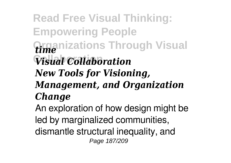**Read Free Visual Thinking: Empowering People Organizations Through Visual** *time* **Collaboration** *Visual Collaboration New Tools for Visioning, Management, and Organization Change*

An exploration of how design might be led by marginalized communities, dismantle structural inequality, and Page 187/209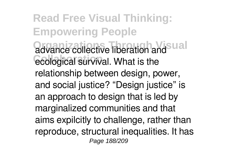**Read Free Visual Thinking: Empowering People** advance collective liberation and ual ecological survival. What is the relationship between design, power, and social justice? "Design justice" is an approach to design that is led by marginalized communities and that aims expilcitly to challenge, rather than reproduce, structural inequalities. It has Page 188/209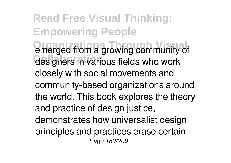**Read Free Visual Thinking: Empowering People** *<u>Organization</u>* **Community** of designers in various fields who work closely with social movements and community-based organizations around the world. This book explores the theory and practice of design justice, demonstrates how universalist design principles and practices erase certain Page 189/209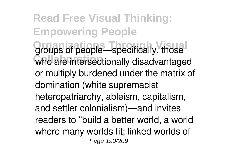**Read Free Visual Thinking: Empowering People Oroups of people—specifically, those** who are intersectionally disadvantaged or multiply burdened under the matrix of domination (white supremacist heteropatriarchy, ableism, capitalism, and settler colonialism)—and invites readers to "build a better world, a world where many worlds fit; linked worlds of Page 190/209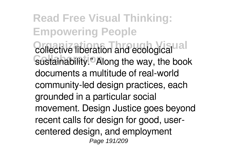**Read Free Visual Thinking: Empowering People Collective liberation and ecological lall** sustainability.<sup>"</sup> Along the way, the book documents a multitude of real-world community-led design practices, each grounded in a particular social movement. Design Justice goes beyond recent calls for design for good, usercentered design, and employment Page 191/209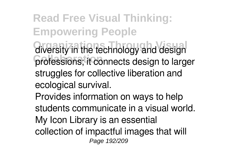**Read Free Visual Thinking: Empowering People** diversity in the technology and design professions; it connects design to larger struggles for collective liberation and ecological survival.

Provides information on ways to help students communicate in a visual world. My Icon Library is an essential collection of impactful images that will Page 192/209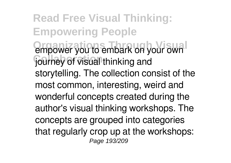**Read Free Visual Thinking: Empowering People Organization Corporations Through Visual Library** journey of visual thinking and storytelling. The collection consist of the most common, interesting, weird and wonderful concepts created during the author's visual thinking workshops. The concepts are grouped into categories that regularly crop up at the workshops: Page 193/209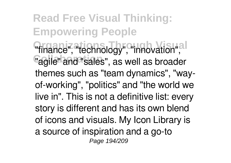**Read Free Visual Thinking: Empowering People Organizations Through Visual** "finance", "technology", "innovation", "agile" and "sales", as well as broader themes such as "team dynamics", "wayof-working", "politics" and "the world we live in". This is not a definitive list: every story is different and has its own blend of icons and visuals. My Icon Library is a source of inspiration and a go-to Page 194/209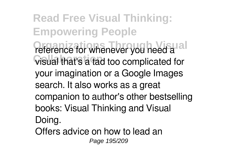**Read Free Visual Thinking: Empowering People Preference for whenever you need a Collaboration** visual that's a tad too complicated for your imagination or a Google Images search. It also works as a great companion to author's other bestselling books: Visual Thinking and Visual Doing. Offers advice on how to lead an

Page 195/209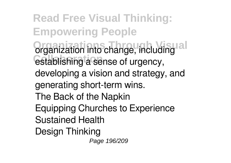**Read Free Visual Thinking: Empowering People Organization into change, including a** establishing a sense of urgency, developing a vision and strategy, and generating short-term wins. The Back of the Napkin Equipping Churches to Experience Sustained Health Design Thinking Page 196/209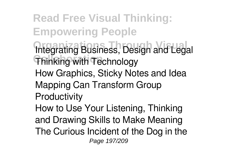**Read Free Visual Thinking: Empowering People Integrating Business, Design and Legal Thinking with Technology** How Graphics, Sticky Notes and Idea Mapping Can Transform Group **Productivity** How to Use Your Listening, Thinking and Drawing Skills to Make Meaning The Curious Incident of the Dog in the Page 197/209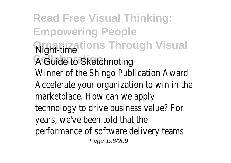**Read Free Visual Thinking: Empowering People Organizations Through Visual** Night-time **A Guide to Sketchnoting** Winner of the Shingo Publication Award Accelerate your organization to win in the marketplace. How can we apply technology to drive business value? For years, we've been told that the performance of software delivery teams Page 198/209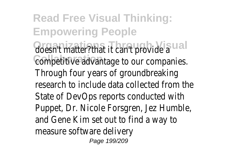**Read Free Visual Thinking: Empowering People** doesn't matter?that it can't provide a competitive advantage to our companies. Through four years of groundbreaking research to include data collected from the State of DevOps reports conducted with Puppet, Dr. Nicole Forsgren, Jez Humble, and Gene Kim set out to find a way to measure software delivery Page 199/209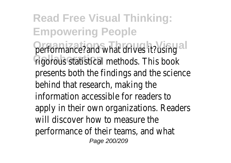**Read Free Visual Thinking: Empowering People** performance?and what drives it?using rigorous statistical methods. This book presents both the findings and the science behind that research, making the information accessible for readers to apply in their own organizations. Readers will discover how to measure the performance of their teams, and what Page 200/209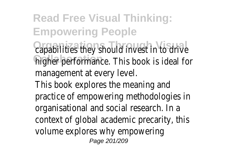**Read Free Visual Thinking: Empowering People Capabilities they should invest in to drive** higher performance. This book is ideal for management at every level.

This book explores the meaning and practice of empowering methodologies in organisational and social research. In a context of global academic precarity, this volume explores why empowering Page 201/209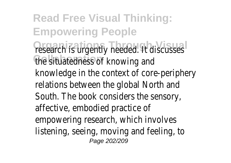**Read Free Visual Thinking: Empowering People** research is urgently needed. It discusses the situatedness of knowing and knowledge in the context of core-periphery relations between the global North and South. The book considers the sensory, affective, embodied practice of empowering research, which involves listening, seeing, moving and feeling, to Page 202/209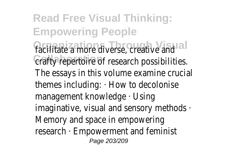**Read Free Visual Thinking: Empowering People** facilitate a more diverse, creative and crafty repertoire of research possibilities. The essays in this volume examine crucial themes including: · How to decolonise management knowledge · Using imaginative, visual and sensory methods · Memory and space in empowering research · Empowerment and feminist Page 203/209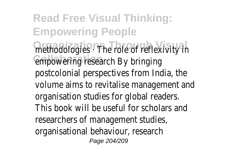**Read Free Visual Thinking: Empowering People** methodologies · The role of reflexivity in empowering research By bringing postcolonial perspectives from India, the volume aims to revitalise management and organisation studies for global readers. This book will be useful for scholars and researchers of management studies, organisational behaviour, research Page 204/209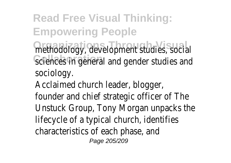**Read Free Visual Thinking: Empowering People** methodology, development studies, social sciences in general and gender studies and sociology.

Acclaimed church leader, blogger,

founder and chief strategic officer of The Unstuck Group, Tony Morgan unpacks the lifecycle of a typical church, identifies characteristics of each phase, and Page 205/209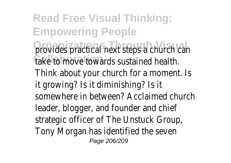**Read Free Visual Thinking: Empowering People** provides practical next steps a church can take to move towards sustained health. Think about your church for a moment. Is it growing? Is it diminishing? Is it somewhere in between? Acclaimed church leader, blogger, and founder and chief strategic officer of The Unstuck Group, Tony Morgan has identified the seven Page 206/209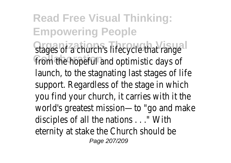**Read Free Visual Thinking: Empowering People** stages of a church's lifecycle that range from the hopeful and optimistic days of launch, to the stagnating last stages of life support. Regardless of the stage in which you find your church, it carries with it the world's greatest mission—to "go and make disciples of all the nations . . ." With eternity at stake the Church should be Page 207/209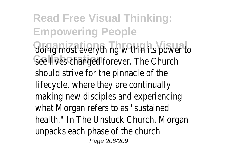**Read Free Visual Thinking: Empowering People** doing most everything within its power to see lives changed forever. The Church should strive for the pinnacle of the lifecycle, where they are continually making new disciples and experiencing what Morgan refers to as "sustained health." In The Unstuck Church, Morgan unpacks each phase of the church Page 208/209